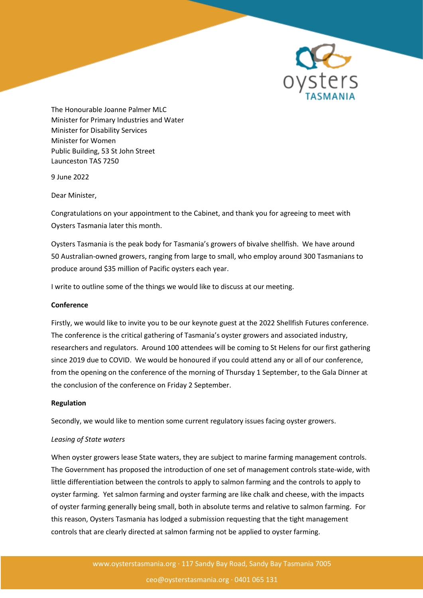

The Honourable Joanne Palmer MLC Minister for Primary Industries and Water Minister for Disability Services Minister for Women Public Building, 53 St John Street Launceston TAS 7250

9 June 2022

Dear Minister,

Congratulations on your appointment to the Cabinet, and thank you for agreeing to meet with Oysters Tasmania later this month.

Oysters Tasmania is the peak body for Tasmania's growers of bivalve shellfish. We have around 50 Australian-owned growers, ranging from large to small, who employ around 300 Tasmanians to produce around \$35 million of Pacific oysters each year.

I write to outline some of the things we would like to discuss at our meeting.

#### **Conference**

Firstly, we would like to invite you to be our keynote guest at the 2022 Shellfish Futures conference. The conference is the critical gathering of Tasmania's oyster growers and associated industry, researchers and regulators. Around 100 attendees will be coming to St Helens for our first gathering since 2019 due to COVID. We would be honoured if you could attend any or all of our conference, from the opening on the conference of the morning of Thursday 1 September, to the Gala Dinner at the conclusion of the conference on Friday 2 September.

#### **Regulation**

Secondly, we would like to mention some current regulatory issues facing oyster growers.

## *Leasing of State waters*

When oyster growers lease State waters, they are subject to marine farming management controls. The Government has proposed the introduction of one set of management controls state-wide, with little differentiation between the controls to apply to salmon farming and the controls to apply to oyster farming. Yet salmon farming and oyster farming are like chalk and cheese, with the impacts of oyster farming generally being small, both in absolute terms and relative to salmon farming. For this reason, Oysters Tasmania has lodged a submission requesting that the tight management controls that are clearly directed at salmon farming not be applied to oyster farming.